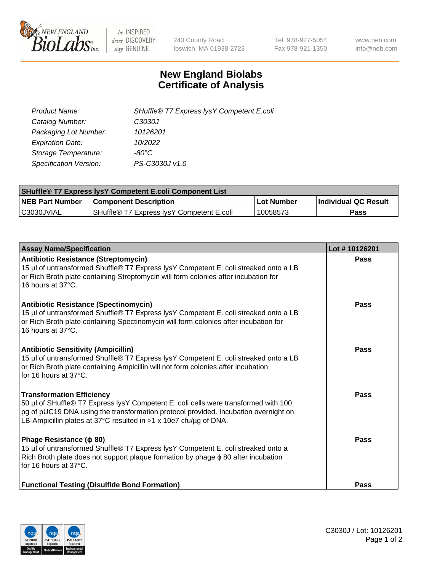

 $be$  INSPIRED drive DISCOVERY stay GENUINE

240 County Road Ipswich, MA 01938-2723 Tel 978-927-5054 Fax 978-921-1350 www.neb.com info@neb.com

## **New England Biolabs Certificate of Analysis**

| SHuffle® T7 Express lysY Competent E.coli |
|-------------------------------------------|
| C3030J                                    |
| 10126201                                  |
| 10/2022                                   |
| -80°C                                     |
| PS-C3030J v1.0                            |
|                                           |

| <b>SHuffle® T7 Express lysY Competent E.coli Component List</b> |                                           |                   |                             |  |
|-----------------------------------------------------------------|-------------------------------------------|-------------------|-----------------------------|--|
| <b>NEB Part Number</b>                                          | <b>Component Description</b>              | <b>Lot Number</b> | <b>Individual QC Result</b> |  |
| C3030JVIAL                                                      | SHuffle® T7 Express IysY Competent E.coli | 10058573          | Pass                        |  |

| <b>Assay Name/Specification</b>                                                                                                                                                                                                                                                     | Lot #10126201 |
|-------------------------------------------------------------------------------------------------------------------------------------------------------------------------------------------------------------------------------------------------------------------------------------|---------------|
| <b>Antibiotic Resistance (Streptomycin)</b><br>15 µl of untransformed Shuffle® T7 Express lysY Competent E. coli streaked onto a LB<br>or Rich Broth plate containing Streptomycin will form colonies after incubation for<br>16 hours at 37°C.                                     | <b>Pass</b>   |
| <b>Antibiotic Resistance (Spectinomycin)</b><br>15 µl of untransformed Shuffle® T7 Express lysY Competent E. coli streaked onto a LB<br>or Rich Broth plate containing Spectinomycin will form colonies after incubation for<br>16 hours at 37°C.                                   | Pass          |
| <b>Antibiotic Sensitivity (Ampicillin)</b><br>15 µl of untransformed Shuffle® T7 Express lysY Competent E. coli streaked onto a LB<br>or Rich Broth plate containing Ampicillin will not form colonies after incubation<br>for 16 hours at 37°C.                                    | Pass          |
| <b>Transformation Efficiency</b><br>50 µl of SHuffle® T7 Express lysY Competent E. coli cells were transformed with 100<br>pg of pUC19 DNA using the transformation protocol provided. Incubation overnight on<br>LB-Ampicillin plates at 37°C resulted in >1 x 10e7 cfu/ug of DNA. | Pass          |
| Phage Resistance ( $\phi$ 80)<br>15 µl of untransformed Shuffle® T7 Express lysY Competent E. coli streaked onto a<br>Rich Broth plate does not support plaque formation by phage $\phi$ 80 after incubation<br>for 16 hours at 37°C.                                               | Pass          |
| <b>Functional Testing (Disulfide Bond Formation)</b>                                                                                                                                                                                                                                | <b>Pass</b>   |